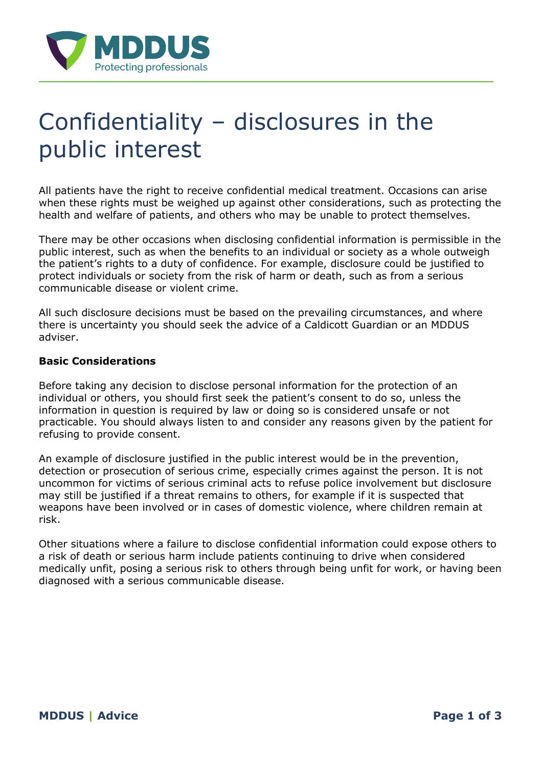

# Confidentiality – disclosures in the public interest

All patients have the right to receive confidential medical treatment. Occasions can arise when these rights must be weighed up against other considerations, such as protecting the health and welfare of patients, and others who may be unable to protect themselves.

There may be other occasions when disclosing confidential information is permissible in the public interest, such as when the benefits to an individual or society as a whole outweigh the patient's rights to a duty of confidence. For example, disclosure could be justified to protect individuals or society from the risk of harm or death, such as from a serious communicable disease or violent crime.

All such disclosure decisions must be based on the prevailing circumstances, and where there is uncertainty you should seek the advice of a Caldicott Guardian or an MDDUS adviser.

#### **Basic Considerations**

Before taking any decision to disclose personal information for the protection of an individual or others, you should first seek the patient's consent to do so, unless the information in question is required by law or doing so is considered unsafe or not practicable. You should always listen to and consider any reasons given by the patient for refusing to provide consent.

An example of disclosure justified in the public interest would be in the prevention, detection or prosecution of serious crime, especially crimes against the person. It is not uncommon for victims of serious criminal acts to refuse police involvement but disclosure may still be justified if a threat remains to others, for example if it is suspected that weapons have been involved or in cases of domestic violence, where children remain at risk.

Other situations where a failure to disclose confidential information could expose others to a risk of death or serious harm include patients continuing to drive when considered medically unfit, posing a serious risk to others through being unfit for work, or having been diagnosed with a serious communicable disease.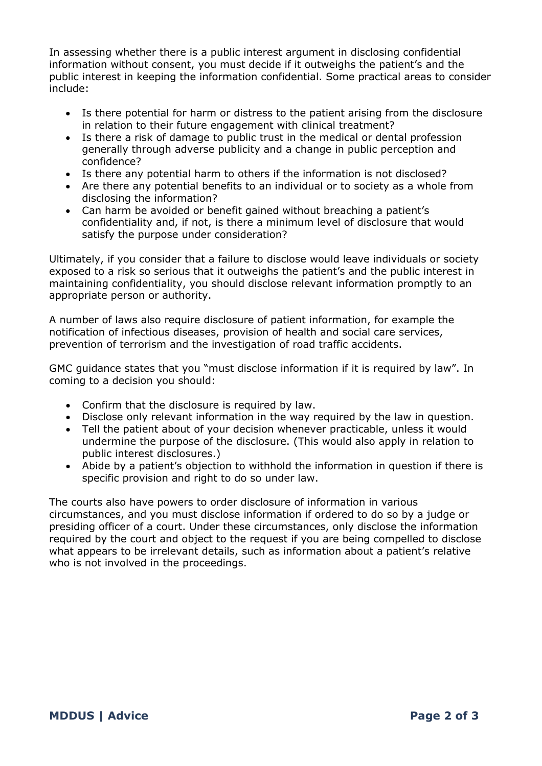In assessing whether there is a public interest argument in disclosing confidential information without consent, you must decide if it outweighs the patient's and the public interest in keeping the information confidential. Some practical areas to consider include:

- Is there potential for harm or distress to the patient arising from the disclosure in relation to their future engagement with clinical treatment?
- Is there a risk of damage to public trust in the medical or dental profession generally through adverse publicity and a change in public perception and confidence?
- Is there any potential harm to others if the information is not disclosed?
- Are there any potential benefits to an individual or to society as a whole from disclosing the information?
- Can harm be avoided or benefit gained without breaching a patient's confidentiality and, if not, is there a minimum level of disclosure that would satisfy the purpose under consideration?

Ultimately, if you consider that a failure to disclose would leave individuals or society exposed to a risk so serious that it outweighs the patient's and the public interest in maintaining confidentiality, you should disclose relevant information promptly to an appropriate person or authority.

A number of laws also require disclosure of patient information, for example the notification of infectious diseases, provision of health and social care services, prevention of terrorism and the investigation of road traffic accidents.

GMC guidance states that you "must disclose information if it is required by law". In coming to a decision you should:

- Confirm that the disclosure is required by law.
- Disclose only relevant information in the way required by the law in question.
- Tell the patient about of your decision whenever practicable, unless it would undermine the purpose of the disclosure. (This would also apply in relation to public interest disclosures.)
- Abide by a patient's objection to withhold the information in question if there is specific provision and right to do so under law.

The courts also have powers to order disclosure of information in various circumstances, and you must disclose information if ordered to do so by a judge or presiding officer of a court. Under these circumstances, only disclose the information required by the court and object to the request if you are being compelled to disclose what appears to be irrelevant details, such as information about a patient's relative who is not involved in the proceedings.